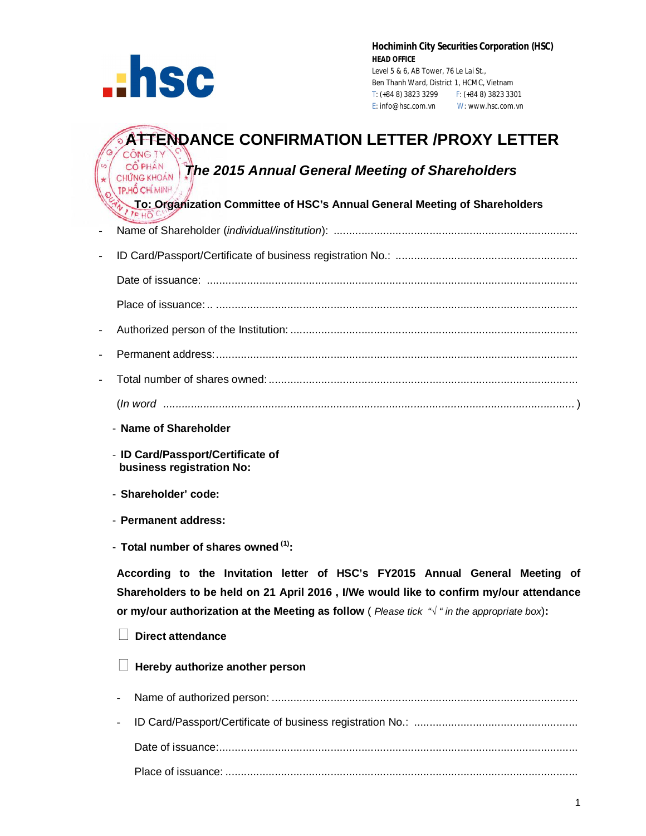

**Hochiminh City Securities Corporation (HSC) HEAD OFFICE** Level 5 & 6, AB Tower, 76 Le Lai St., Ben Thanh Ward, District 1, HCMC, Vietnam T: (+84 8) 3823 3299 F: (+84 8) 3823 3301 E: info@hsc.com.vn W: www.hsc.com.vn

### **ATTENDANCE CONFIRMATION LETTER /PROXY LETTER CÔNG TY**

## *CÔ PHẦN I***<sub>M</sub>** *Annual General Meeting of Shareholders CHỨNG KHOÁN* TP.HỐ CHÍ MINH

 **To: Organization Committee of HSC's Annual General Meeting of Shareholders**

- Name of Shareholder (*individual/institution*): ............................................................................... - ID Card/Passport/Certificate of business registration No.: ........................................................... Date of issuance: ........................................................................................................................ Place of issuance: .. ..................................................................................................................... - Authorized person of the Institution: ............................................................................................. - Permanent address:..................................................................................................................... - Total number of shares owned: .................................................................................................... (*In word .....................................................................................................................................* )
	- **Name of Shareholder**
	- **ID Card/Passport/Certificate of business registration No:**
	- **Shareholder' code:**
	- **Permanent address:**
	- **Total number of shares owned (1):**

**According to the Invitation letter of HSC's FY2015 Annual General Meeting of Shareholders to be held on 21 April 2016 , I/We would like to confirm my/our attendance or my/our authorization at the Meeting as follow** ( *Please tick "√ " in the appropriate box*)**:**

#### **Direct attendance**

#### **Hereby authorize another person**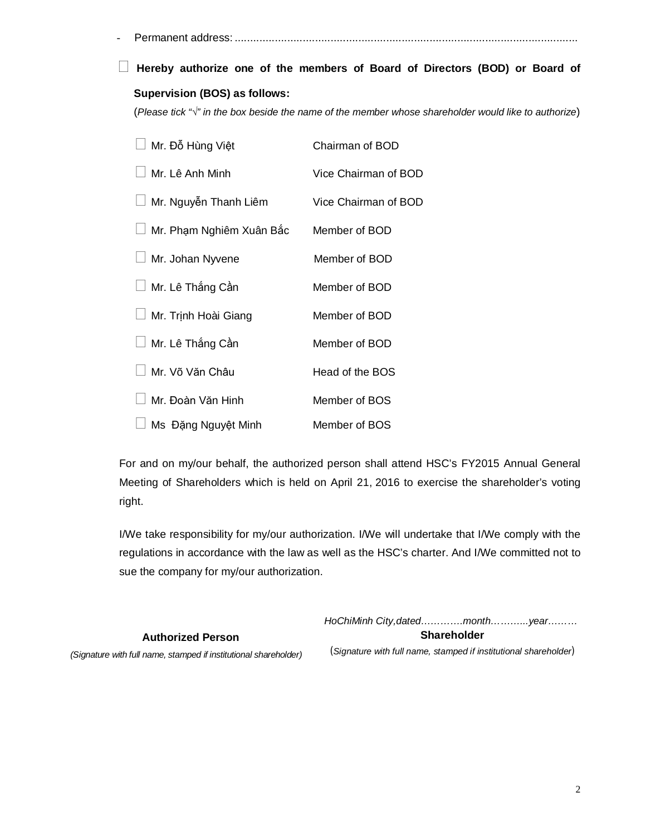- Permanent address: ...............................................................................................................

# **Hereby authorize one of the members of Board of Directors (BOD) or Board of Supervision (BOS) as follows:**

(*Please tick "√" in the box beside the name of the member whose shareholder would like to authorize*)

| Mr. Đỗ Hùng Việt         | Chairman of BOD      |
|--------------------------|----------------------|
| Mr. Lê Anh Minh          | Vice Chairman of BOD |
| Mr. Nguyễn Thanh Liêm    | Vice Chairman of BOD |
| Mr. Phạm Nghiêm Xuân Bắc | Member of BOD        |
| Mr. Johan Nyvene         | Member of BOD        |
| Mr. Lê Thắng Cần         | Member of BOD        |
| Mr. Trịnh Hoài Giang     | Member of BOD        |
| Mr. Lê Thắng Cần         | Member of BOD        |
| Mr. Võ Văn Châu          | Head of the BOS      |
| Mr. Đoàn Văn Hinh        | Member of BOS        |
| Ms Đặng Nguyệt Minh      | Member of BOS        |

For and on my/our behalf, the authorized person shall attend HSC's FY2015 Annual General Meeting of Shareholders which is held on April 21, 2016 to exercise the shareholder's voting right.

I/We take responsibility for my/our authorization. I/We will undertake that I/We comply with the regulations in accordance with the law as well as the HSC's charter. And I/We committed not to sue the company for my/our authorization.

| <b>Authorized Person</b>                                         | <b>Shareholder</b>                                               |  |  |
|------------------------------------------------------------------|------------------------------------------------------------------|--|--|
| (Signature with full name, stamped if institutional shareholder) | (Signature with full name, stamped if institutional shareholder) |  |  |